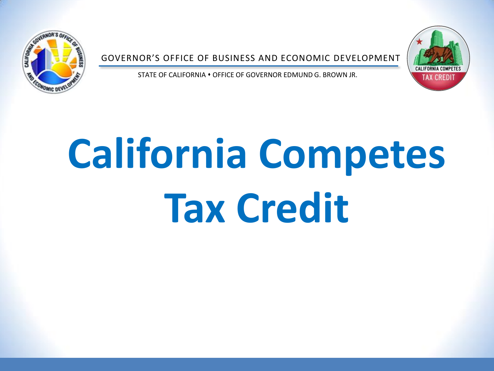

GOVERNOR'S OFFICE OF BUSINESS AND ECONOMIC DEVELOPMENT



STATE OF CALIFORNIA • OFFICE OF GOVERNOR EDMUND G. BROWN JR.

# **California Competes Tax Credit**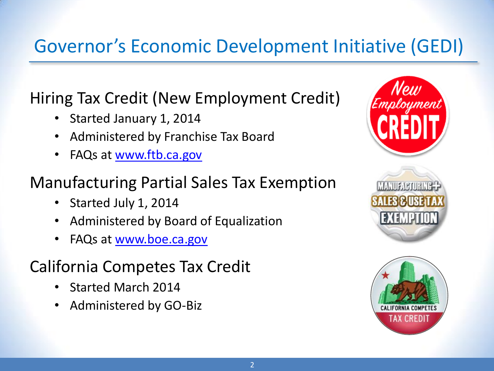### Governor's Economic Development Initiative (GEDI)

Hiring Tax Credit (New Employment Credit)

- Started January 1, 2014
- Administered by Franchise Tax Board
- FAQs at [www.ftb.ca.gov](http://www.ftb.ca.gov/)

### Manufacturing Partial Sales Tax Exemption

- Started July 1, 2014
- Administered by Board of Equalization
- FAQs at [www.boe.ca.gov](http://www.boe.ca.gov/)

### California Competes Tax Credit

- Started March 2014
- Administered by GO-Biz



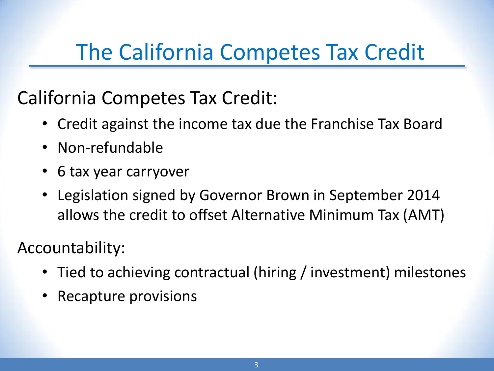# The California Competes Tax Credit

### California Competes Tax Credit:

- Credit against the income tax due the Franchise Tax Board
- Non-refundable
- 6 tax year carryover
- Legislation signed by Governor Brown in September 2014 allows the credit to offset Alternative Minimum Tax (AMT)

### Accountability:

- Tied to achieving contractual (hiring / investment) milestones
- Recapture provisions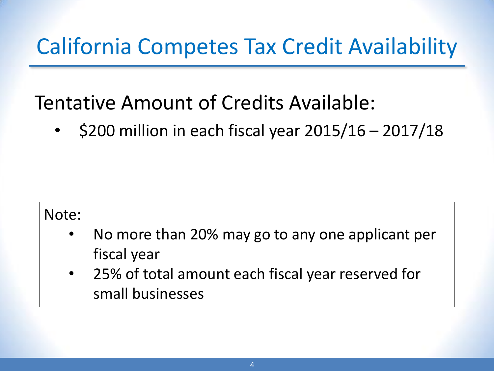# California Competes Tax Credit Availability

### Tentative Amount of Credits Available:

•  $\leq$  \$200 million in each fiscal year 2015/16 – 2017/18

#### Note:

- No more than 20% may go to any one applicant per fiscal year
- 25% of total amount each fiscal year reserved for small businesses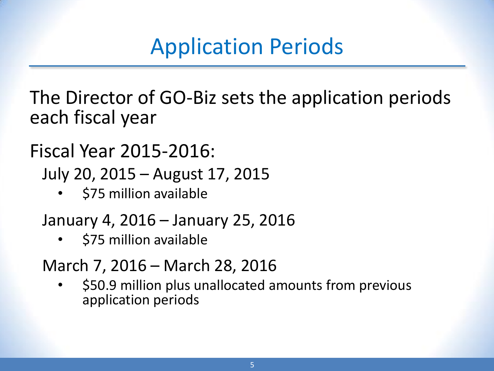# Application Periods

The Director of GO-Biz sets the application periods each fiscal year

Fiscal Year 2015-2016:

July 20, 2015 – August 17, 2015

• \$75 million available

January 4, 2016 – January 25, 2016

• \$75 million available

March 7, 2016 – March 28, 2016

• \$50.9 million plus unallocated amounts from previous application periods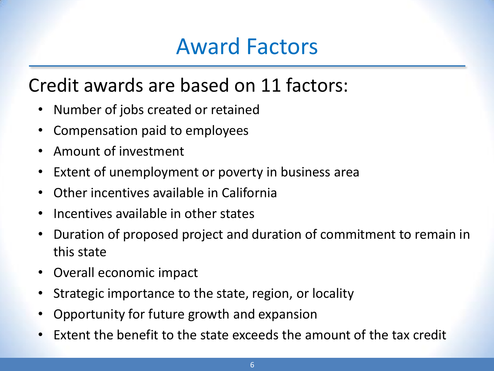# Award Factors

### Credit awards are based on 11 factors:

- Number of jobs created or retained
- Compensation paid to employees
- Amount of investment
- Extent of unemployment or poverty in business area
- Other incentives available in California
- Incentives available in other states
- Duration of proposed project and duration of commitment to remain in this state
- Overall economic impact
- Strategic importance to the state, region, or locality
- Opportunity for future growth and expansion
- Extent the benefit to the state exceeds the amount of the tax credit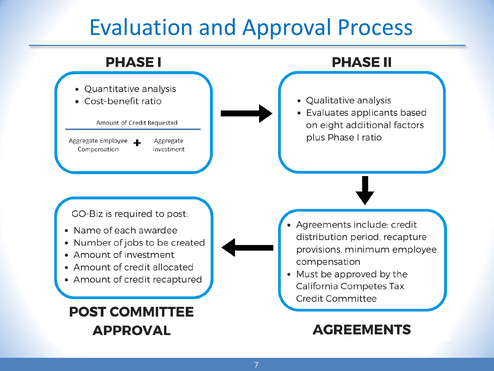# Evaluation and Approval Process

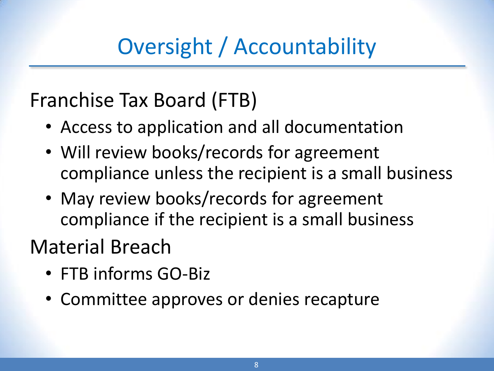Oversight / Accountability

Franchise Tax Board (FTB)

- Access to application and all documentation
- Will review books/records for agreement compliance unless the recipient is a small business
- May review books/records for agreement compliance if the recipient is a small business

## Material Breach

- FTB informs GO-Biz
- Committee approves or denies recapture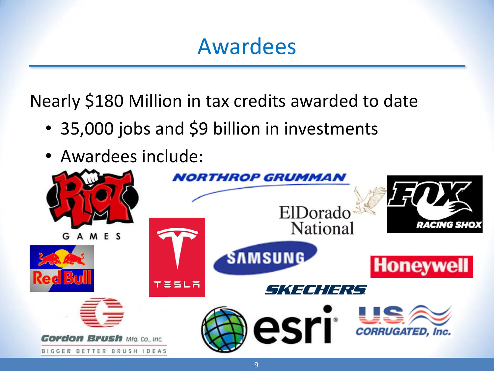### Awardees

Nearly \$180 Million in tax credits awarded to date

- 35,000 jobs and \$9 billion in investments
- Awardees include: